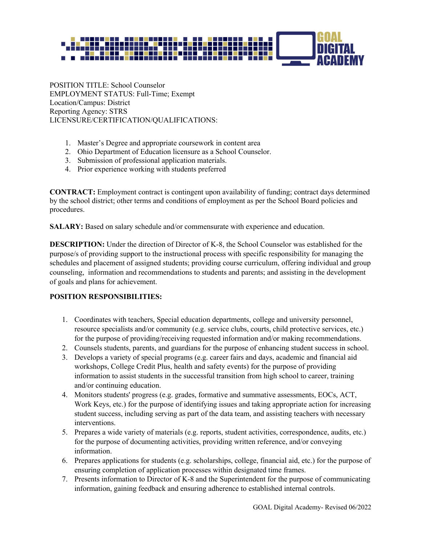

POSITION TITLE: School Counselor EMPLOYMENT STATUS: Full-Time; Exempt Location/Campus: District Reporting Agency: STRS LICENSURE/CERTIFICATION/QUALIFICATIONS:

- 1. Master's Degree and appropriate coursework in content area
- 2. Ohio Department of Education licensure as a School Counselor.
- 3. Submission of professional application materials.
- 4. Prior experience working with students preferred

**CONTRACT:** Employment contract is contingent upon availability of funding; contract days determined by the school district; other terms and conditions of employment as per the School Board policies and procedures.

**SALARY:** Based on salary schedule and/or commensurate with experience and education.

**DESCRIPTION:** Under the direction of Director of K-8, the School Counselor was established for the purpose/s of providing support to the instructional process with specific responsibility for managing the schedules and placement of assigned students; providing course curriculum, offering individual and group counseling, information and recommendations to students and parents; and assisting in the development of goals and plans for achievement.

#### **POSITION RESPONSIBILITIES:**

- 1. Coordinates with teachers, Special education departments, college and university personnel, resource specialists and/or community (e.g. service clubs, courts, child protective services, etc.) for the purpose of providing/receiving requested information and/or making recommendations.
- 2. Counsels students, parents, and guardians for the purpose of enhancing student success in school.
- 3. Develops a variety of special programs (e.g. career fairs and days, academic and financial aid workshops, College Credit Plus, health and safety events) for the purpose of providing information to assist students in the successful transition from high school to career, training and/or continuing education.
- 4. Monitors students' progress (e.g. grades, formative and summative assessments, EOCs, ACT, Work Keys, etc.) for the purpose of identifying issues and taking appropriate action for increasing student success, including serving as part of the data team, and assisting teachers with necessary interventions.
- 5. Prepares a wide variety of materials (e.g. reports, student activities, correspondence, audits, etc.) for the purpose of documenting activities, providing written reference, and/or conveying information.
- 6. Prepares applications for students (e.g. scholarships, college, financial aid, etc.) for the purpose of ensuring completion of application processes within designated time frames.
- 7. Presents information to Director of K-8 and the Superintendent for the purpose of communicating information, gaining feedback and ensuring adherence to established internal controls.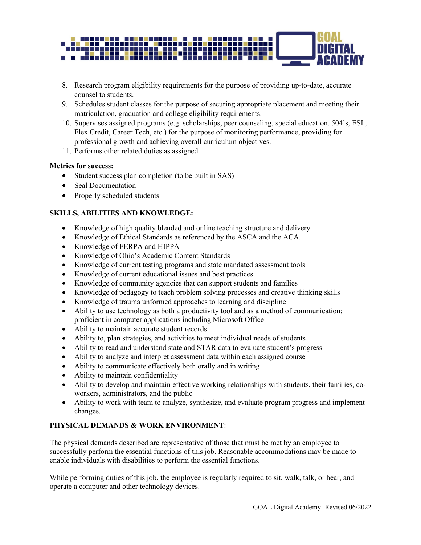

- 8. Research program eligibility requirements for the purpose of providing up-to-date, accurate counsel to students.
- 9. Schedules student classes for the purpose of securing appropriate placement and meeting their matriculation, graduation and college eligibility requirements.
- 10. Supervises assigned programs (e.g. scholarships, peer counseling, special education, 504's, ESL, Flex Credit, Career Tech, etc.) for the purpose of monitoring performance, providing for professional growth and achieving overall curriculum objectives.
- 11. Performs other related duties as assigned

#### **Metrics for success:**

- Student success plan completion (to be built in SAS)
- Seal Documentation
- Properly scheduled students

# **SKILLS, ABILITIES AND KNOWLEDGE:**

- Knowledge of high quality blended and online teaching structure and delivery
- Knowledge of Ethical Standards as referenced by the ASCA and the ACA.
- Knowledge of FERPA and HIPPA
- Knowledge of Ohio's Academic Content Standards
- Knowledge of current testing programs and state mandated assessment tools
- Knowledge of current educational issues and best practices
- Knowledge of community agencies that can support students and families
- Knowledge of pedagogy to teach problem solving processes and creative thinking skills
- Knowledge of trauma unformed approaches to learning and discipline
- Ability to use technology as both a productivity tool and as a method of communication; proficient in computer applications including Microsoft Office
- Ability to maintain accurate student records
- Ability to, plan strategies, and activities to meet individual needs of students
- Ability to read and understand state and STAR data to evaluate student's progress
- Ability to analyze and interpret assessment data within each assigned course
- Ability to communicate effectively both orally and in writing
- Ability to maintain confidentiality
- Ability to develop and maintain effective working relationships with students, their families, coworkers, administrators, and the public
- Ability to work with team to analyze, synthesize, and evaluate program progress and implement changes.

### **PHYSICAL DEMANDS & WORK ENVIRONMENT**:

The physical demands described are representative of those that must be met by an employee to successfully perform the essential functions of this job. Reasonable accommodations may be made to enable individuals with disabilities to perform the essential functions.

While performing duties of this job, the employee is regularly required to sit, walk, talk, or hear, and operate a computer and other technology devices.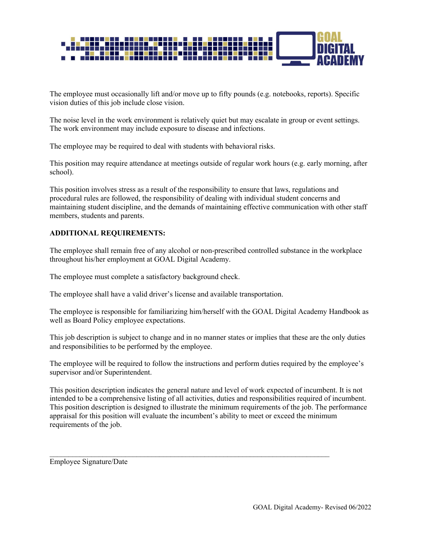

The employee must occasionally lift and/or move up to fifty pounds (e.g. notebooks, reports). Specific vision duties of this job include close vision.

The noise level in the work environment is relatively quiet but may escalate in group or event settings. The work environment may include exposure to disease and infections.

The employee may be required to deal with students with behavioral risks.

This position may require attendance at meetings outside of regular work hours (e.g. early morning, after school).

This position involves stress as a result of the responsibility to ensure that laws, regulations and procedural rules are followed, the responsibility of dealing with individual student concerns and maintaining student discipline, and the demands of maintaining effective communication with other staff members, students and parents.

# **ADDITIONAL REQUIREMENTS:**

The employee shall remain free of any alcohol or non-prescribed controlled substance in the workplace throughout his/her employment at GOAL Digital Academy.

The employee must complete a satisfactory background check.

The employee shall have a valid driver's license and available transportation.

The employee is responsible for familiarizing him/herself with the GOAL Digital Academy Handbook as well as Board Policy employee expectations.

This job description is subject to change and in no manner states or implies that these are the only duties and responsibilities to be performed by the employee.

The employee will be required to follow the instructions and perform duties required by the employee's supervisor and/or Superintendent.

This position description indicates the general nature and level of work expected of incumbent. It is not intended to be a comprehensive listing of all activities, duties and responsibilities required of incumbent. This position description is designed to illustrate the minimum requirements of the job. The performance appraisal for this position will evaluate the incumbent's ability to meet or exceed the minimum requirements of the job.

Employee Signature/Date